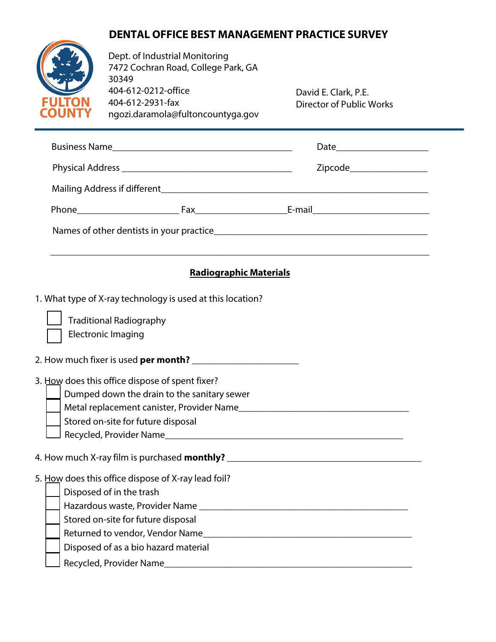## **DENTAL OFFICE BEST MANAGEMENT PRACTICE SURVEY**



Dept. of Industrial Monitoring 7472 Cochran Road, College Park, GA 30349 404-612-0212-office 404-612-2931-fax ngozi.daramola@fultoncountyga.gov

David E. Clark, P.E. Director of Public Works

|                                                     |                                                                     | <b>Radiographic Materials</b> |  |  |
|-----------------------------------------------------|---------------------------------------------------------------------|-------------------------------|--|--|
|                                                     | 1. What type of X-ray technology is used at this location?          |                               |  |  |
|                                                     | <b>Traditional Radiography</b>                                      |                               |  |  |
|                                                     | <b>Electronic Imaging</b>                                           |                               |  |  |
|                                                     | 2. How much fixer is used <b>per month?</b> _______________________ |                               |  |  |
|                                                     | 3. How does this office dispose of spent fixer?                     |                               |  |  |
|                                                     | Dumped down the drain to the sanitary sewer                         |                               |  |  |
|                                                     |                                                                     |                               |  |  |
|                                                     | Stored on-site for future disposal                                  |                               |  |  |
|                                                     |                                                                     |                               |  |  |
|                                                     |                                                                     |                               |  |  |
| 5. How does this office dispose of X-ray lead foil? |                                                                     |                               |  |  |
|                                                     | Disposed of in the trash                                            |                               |  |  |
|                                                     |                                                                     |                               |  |  |
|                                                     | Stored on-site for future disposal                                  |                               |  |  |

Returned to vendor, Vendor Name\_\_\_\_\_\_\_\_\_\_\_\_\_\_\_\_\_\_\_\_\_\_\_\_\_\_\_\_\_\_\_\_\_\_\_\_\_\_\_\_\_\_\_

Recycled, Provider Name\_\_\_\_\_\_\_\_\_\_\_\_\_\_\_\_\_\_\_\_\_\_\_\_\_\_\_\_\_\_\_\_\_\_\_\_\_\_\_\_\_\_\_\_\_\_\_\_\_\_\_

Disposed of as a bio hazard material